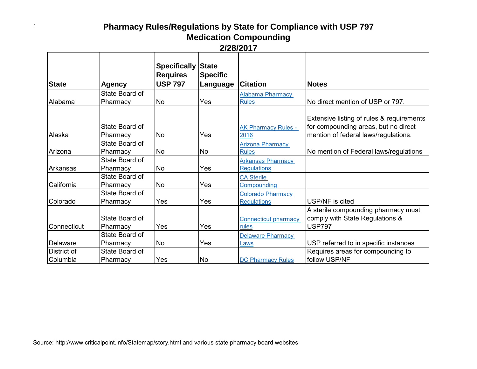| 2/28/2017 |
|-----------|
|-----------|

| <b>State</b> | Agency                     | <b>Specifically</b><br><b>Requires</b><br><b>USP 797</b> | <b>State</b><br><b>Specific</b><br>Language | <b>Citation</b>                      | <b>Notes</b>                                                                                                              |
|--------------|----------------------------|----------------------------------------------------------|---------------------------------------------|--------------------------------------|---------------------------------------------------------------------------------------------------------------------------|
|              | State Board of             |                                                          |                                             | Alabama Pharmacy                     |                                                                                                                           |
| Alabama      | Pharmacy                   | <b>No</b>                                                | Yes                                         | <b>Rules</b>                         | No direct mention of USP or 797.                                                                                          |
| Alaska       | State Board of<br>Pharmacy | No.                                                      | Yes                                         | <b>AK Pharmacy Rules -</b><br>2016   | Extensive listing of rules & requirements<br>for compounding areas, but no direct<br>mention of federal laws/regulations. |
|              | State Board of             |                                                          |                                             | Arizona Pharmacy                     |                                                                                                                           |
| Arizona      | Pharmacy                   | <b>No</b>                                                | No                                          | <b>Rules</b>                         | No mention of Federal laws/regulations                                                                                    |
|              | State Board of             |                                                          |                                             | <b>Arkansas Pharmacy</b>             |                                                                                                                           |
| Arkansas     | Pharmacy                   | <b>No</b>                                                | Yes                                         | <b>Regulations</b>                   |                                                                                                                           |
|              | State Board of             |                                                          |                                             | <b>CA Sterile</b>                    |                                                                                                                           |
| California   | Pharmacy                   | <b>No</b>                                                | Yes                                         | Compounding                          |                                                                                                                           |
|              | State Board of             |                                                          |                                             | Colorado Pharmacy                    |                                                                                                                           |
| Colorado     | Pharmacy                   | Yes                                                      | Yes                                         | <b>Regulations</b>                   | USP/NF is cited                                                                                                           |
| Connecticut  | State Board of<br>Pharmacy | Yes                                                      | Yes                                         | <b>Connecticut pharmacy</b><br>rules | A sterile compounding pharmacy must<br>comply with State Regulations &<br><b>USP797</b>                                   |
|              | State Board of             |                                                          |                                             | <b>Delaware Pharmacy</b>             |                                                                                                                           |
| Delaware     | Pharmacy                   | <b>No</b>                                                | Yes                                         | Laws                                 | USP referred to in specific instances                                                                                     |
| District of  | State Board of             |                                                          |                                             |                                      | Requires areas for compounding to                                                                                         |
| Columbia     | Pharmacy                   | Yes                                                      | <b>No</b>                                   | <b>DC Pharmacy Rules</b>             | follow USP/NF                                                                                                             |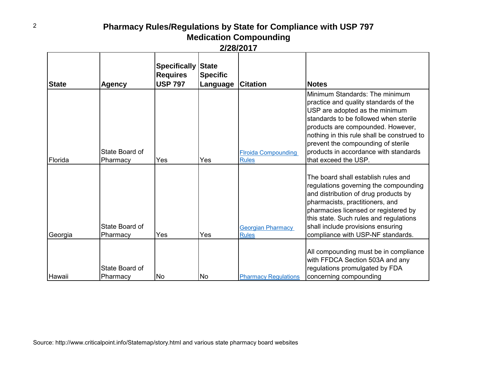| <b>State</b> | <b>Agency</b>              | <b>Specifically State</b><br><b>Requires</b><br><b>USP 797</b> | <b>Specific</b><br>Language | <b>Citation</b>                            | <b>Notes</b>                                                                                                                                                                                                                                                                                                                                 |
|--------------|----------------------------|----------------------------------------------------------------|-----------------------------|--------------------------------------------|----------------------------------------------------------------------------------------------------------------------------------------------------------------------------------------------------------------------------------------------------------------------------------------------------------------------------------------------|
| Florida      | State Board of<br>Pharmacy | Yes                                                            | Yes                         | <b>Firoida Compounding</b><br><b>Rules</b> | Minimum Standards: The minimum<br>practice and quality standards of the<br>USP are adopted as the minimum<br>standards to be followed when sterile<br>products are compounded. However,<br>nothing in this rule shall be construed to<br>prevent the compounding of sterile<br>products in accordance with standards<br>that exceed the USP. |
| Georgia      | State Board of<br>Pharmacy | Yes                                                            | Yes                         | <b>Georgian Pharmacy</b><br><b>Rules</b>   | The board shall establish rules and<br>regulations governing the compounding<br>and distribution of drug products by<br>pharmacists, practitioners, and<br>pharmacies licensed or registered by<br>this state. Such rules and regulations<br>shall include provisions ensuring<br>compliance with USP-NF standards.                          |
| Hawaii       | State Board of<br>Pharmacy | N <sub>o</sub>                                                 | lNo                         | <b>Pharmacy Regulations</b>                | All compounding must be in compliance<br>with FFDCA Section 503A and any<br>regulations promulgated by FDA<br>concerning compounding                                                                                                                                                                                                         |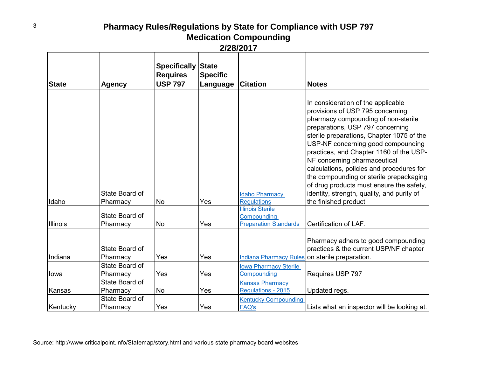|              |                            | <b>Specifically</b><br><b>Requires</b> | <b>State</b><br><b>Specific</b> |                                              |                                                                                                                                                                                                                                                                                                                                                                                                                                                                                                                           |
|--------------|----------------------------|----------------------------------------|---------------------------------|----------------------------------------------|---------------------------------------------------------------------------------------------------------------------------------------------------------------------------------------------------------------------------------------------------------------------------------------------------------------------------------------------------------------------------------------------------------------------------------------------------------------------------------------------------------------------------|
| <b>State</b> | <b>Agency</b>              | <b>USP 797</b>                         | Language                        | <b>Citation</b>                              | <b>Notes</b>                                                                                                                                                                                                                                                                                                                                                                                                                                                                                                              |
| Idaho        | State Board of<br>Pharmacy | No                                     | Yes                             | <b>Idaho Pharmacy</b><br><b>Regulations</b>  | In consideration of the applicable<br>provisions of USP 795 concerning<br>pharmacy compounding of non-sterile<br>preparations, USP 797 concerning<br>sterile preparations, Chapter 1075 of the<br>USP-NF concerning good compounding<br>practices, and Chapter 1160 of the USP-<br>NF concerning pharmaceutical<br>calculations, policies and procedures for<br>the compounding or sterile prepackaging<br>of drug products must ensure the safety,<br>identity, strength, quality, and purity of<br>the finished product |
|              | State Board of             |                                        |                                 | <b>Illinois Sterile</b><br>Compounding       |                                                                                                                                                                                                                                                                                                                                                                                                                                                                                                                           |
| Illinois     | Pharmacy                   | <b>No</b>                              | Yes                             | <b>Preparation Standards</b>                 | Certification of LAF.                                                                                                                                                                                                                                                                                                                                                                                                                                                                                                     |
| Indiana      | State Board of<br>Pharmacy | Yes                                    | Yes                             |                                              | Pharmacy adhers to good compounding<br>practices & the current USP/NF chapter<br>Indiana Pharmacy Rules on sterile preparation.                                                                                                                                                                                                                                                                                                                                                                                           |
|              | State Board of             |                                        |                                 | <b>Iowa Pharmacy Sterile</b>                 |                                                                                                                                                                                                                                                                                                                                                                                                                                                                                                                           |
| lowa         | Pharmacy                   | Yes                                    | Yes                             | Compounding                                  | Requires USP 797                                                                                                                                                                                                                                                                                                                                                                                                                                                                                                          |
| Kansas       | State Board of<br>Pharmacy | No                                     | Yes                             | <b>Kansas Pharmacy</b><br>Regulations - 2015 | Updated regs.                                                                                                                                                                                                                                                                                                                                                                                                                                                                                                             |
| Kentucky     | State Board of<br>Pharmacy | Yes                                    | Yes                             | <b>Kentucky Compounding</b><br><b>FAQ's</b>  | Lists what an inspector will be looking at.                                                                                                                                                                                                                                                                                                                                                                                                                                                                               |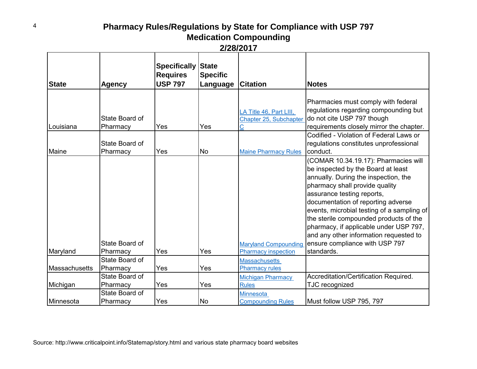|               |                                              | <b>Specifically State</b>         |                             |                                                           |                                                                                                                                                                                                                                                                                                                                                                                                                                                      |
|---------------|----------------------------------------------|-----------------------------------|-----------------------------|-----------------------------------------------------------|------------------------------------------------------------------------------------------------------------------------------------------------------------------------------------------------------------------------------------------------------------------------------------------------------------------------------------------------------------------------------------------------------------------------------------------------------|
| <b>State</b>  | <b>Agency</b>                                | <b>Requires</b><br><b>USP 797</b> | <b>Specific</b><br>Language | <b>Citation</b>                                           | <b>Notes</b>                                                                                                                                                                                                                                                                                                                                                                                                                                         |
| Louisiana     | State Board of<br>Pharmacy<br>State Board of | Yes                               | Yes                         | LA Title 46, Part LIII,<br>Chapter 25, Subchapter         | Pharmacies must comply with federal<br>regulations regarding compounding but<br>do not cite USP 797 though<br>requirements closely mirror the chapter.<br>Codified - Violation of Federal Laws or<br>regulations constitutes unprofessional                                                                                                                                                                                                          |
| Maine         | Pharmacy                                     | Yes                               | <b>No</b>                   | <b>Maine Pharmacy Rules</b>                               | conduct.                                                                                                                                                                                                                                                                                                                                                                                                                                             |
| Maryland      | State Board of<br>Pharmacy                   | Yes                               | Yes                         | <b>Maryland Compounding</b><br><b>Pharmacy inspection</b> | (COMAR 10.34.19.17): Pharmacies will<br>be inspected by the Board at least<br>annually. During the inspection, the<br>pharmacy shall provide quality<br>assurance testing reports,<br>documentation of reporting adverse<br>events, microbial testing of a sampling of<br>the sterile compounded products of the<br>pharmacy, if applicable under USP 797,<br>and any other information requested to<br>ensure compliance with USP 797<br>standards. |
|               | State Board of                               |                                   |                             | <b>Massachusetts</b>                                      |                                                                                                                                                                                                                                                                                                                                                                                                                                                      |
| Massachusetts | Pharmacy                                     | Yes                               | Yes                         | <b>Pharmacy rules</b>                                     |                                                                                                                                                                                                                                                                                                                                                                                                                                                      |
| Michigan      | State Board of<br>Pharmacy                   | Yes                               | Yes                         | Michigan Pharmacy<br><b>Rules</b>                         | Accreditation/Certification Required.<br>TJC recognized                                                                                                                                                                                                                                                                                                                                                                                              |
| Minnesota     | State Board of<br>Pharmacy                   | Yes                               | <b>No</b>                   | <b>Minnesota</b><br><b>Compounding Rules</b>              | Must follow USP 795, 797                                                                                                                                                                                                                                                                                                                                                                                                                             |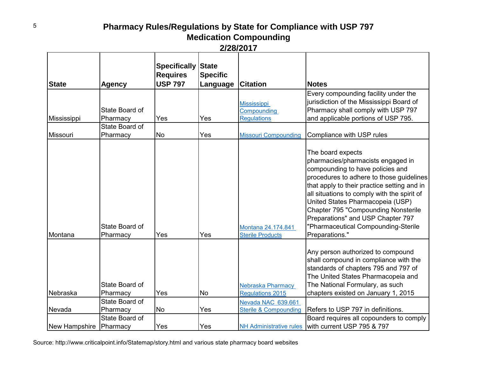|               |                            | <b>Specifically State</b><br><b>Requires</b> | <b>Specific</b> |                                               |                                                                                                                                                                                                                                                                                                                                                                                                                      |
|---------------|----------------------------|----------------------------------------------|-----------------|-----------------------------------------------|----------------------------------------------------------------------------------------------------------------------------------------------------------------------------------------------------------------------------------------------------------------------------------------------------------------------------------------------------------------------------------------------------------------------|
| <b>State</b>  | <b>Agency</b>              | <b>USP 797</b>                               | Language        | <b>Citation</b>                               | <b>Notes</b>                                                                                                                                                                                                                                                                                                                                                                                                         |
|               | State Board of             |                                              |                 | <b>Mississippi</b><br>Compounding             | Every compounding facility under the<br>jurisdiction of the Mississippi Board of<br>Pharmacy shall comply with USP 797                                                                                                                                                                                                                                                                                               |
| Mississippi   | Pharmacy                   | Yes                                          | Yes             | Regulations                                   | and applicable portions of USP 795.                                                                                                                                                                                                                                                                                                                                                                                  |
| Missouri      | State Board of<br>Pharmacy | <b>No</b>                                    | Yes             | <b>Missouri Compounding</b>                   | Compliance with USP rules                                                                                                                                                                                                                                                                                                                                                                                            |
| Montana       | State Board of<br>Pharmacy | Yes                                          | Yes             | Montana 24.174.841<br><b>Sterile Products</b> | The board expects<br>pharmacies/pharmacists engaged in<br>compounding to have policies and<br>procedures to adhere to those guidelines<br>that apply to their practice setting and in<br>all situations to comply with the spirit of<br>United States Pharmacopeia (USP)<br><b>Chapter 795 "Compounding Nonsterile</b><br>Preparations" and USP Chapter 797<br>"Pharmaceutical Compounding-Sterile<br>Preparations." |
| Nebraska      | State Board of<br>Pharmacy | Yes                                          | No              | Nebraska Pharmacy<br><b>Regulations 2015</b>  | Any person authorized to compound<br>shall compound in compliance with the<br>standards of chapters 795 and 797 of<br>The United States Pharmacopeia and<br>The National Formulary, as such<br>chapters existed on January 1, 2015                                                                                                                                                                                   |
|               | State Board of             |                                              |                 | Nevada NAC 639.661                            |                                                                                                                                                                                                                                                                                                                                                                                                                      |
| Nevada        | Pharmacy                   | <b>No</b>                                    | Yes             | <b>Sterile &amp; Compounding</b>              | Refers to USP 797 in definitions.                                                                                                                                                                                                                                                                                                                                                                                    |
| New Hampshire | State Board of<br>Pharmacy | Yes                                          | Yes             |                                               | Board requires all copounders to comply<br>NH Administrative rules with current USP 795 & 797                                                                                                                                                                                                                                                                                                                        |

Source: http://www.criticalpoint.info/Statemap/story.html and various state pharmacy board websites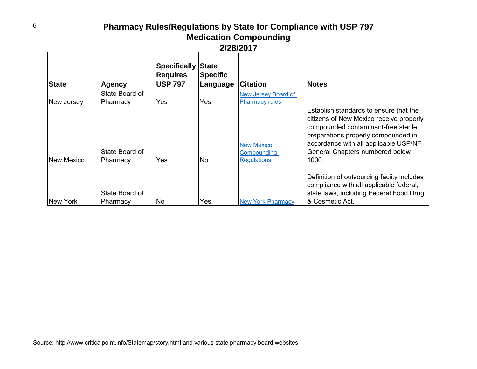| <b>State</b>      | <b>Agency</b>              | <b>Specifically</b><br><b>Requires</b><br><b>USP 797</b> | <b>State</b><br><b>Specific</b><br>Language | <b>Citation</b>                                        | <b>Notes</b>                                                                                                                                                                                                                                         |
|-------------------|----------------------------|----------------------------------------------------------|---------------------------------------------|--------------------------------------------------------|------------------------------------------------------------------------------------------------------------------------------------------------------------------------------------------------------------------------------------------------------|
|                   | State Board of             |                                                          |                                             | New Jersey Board of                                    |                                                                                                                                                                                                                                                      |
| New Jersey        | Pharmacy                   | Yes                                                      | Yes                                         | <b>Pharmacy rules</b>                                  |                                                                                                                                                                                                                                                      |
| <b>New Mexico</b> | State Board of<br>Pharmacy | Yes                                                      | <b>No</b>                                   | <b>New Mexico</b><br>Compounding<br><b>Regulations</b> | Establish standards to ensure that the<br>citizens of New Mexico receive properly<br>compounded contaminant-free sterile<br>preparations properly compounded in<br>accordance with all applicable USP/NF<br>General Chapters numbered below<br>1000. |
| INew York         | State Board of<br>Pharmacy | <b>No</b>                                                | Yes                                         | <b>New York Pharmacy</b>                               | Definition of outsourcing faciity includes<br>compliance with all applicable federal,<br>state laws, including Federal Food Drug<br>& Cosmetic Act.                                                                                                  |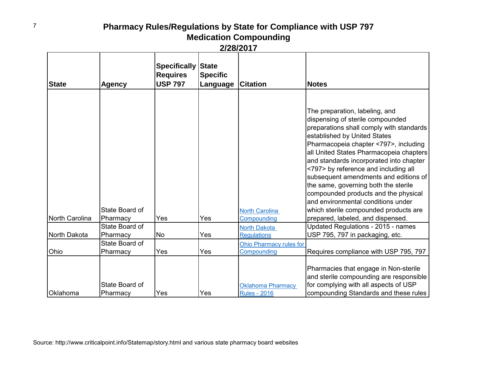|                |                            | <b>Specifically State</b><br><b>Requires</b> | <b>Specific</b> |                                    |                                                                                                                                                                                                                                                                                                                                                                                                                                                                                                                               |
|----------------|----------------------------|----------------------------------------------|-----------------|------------------------------------|-------------------------------------------------------------------------------------------------------------------------------------------------------------------------------------------------------------------------------------------------------------------------------------------------------------------------------------------------------------------------------------------------------------------------------------------------------------------------------------------------------------------------------|
| <b>State</b>   | <b>Agency</b>              | <b>USP 797</b>                               | Language        | <b>Citation</b>                    | <b>Notes</b>                                                                                                                                                                                                                                                                                                                                                                                                                                                                                                                  |
|                |                            |                                              |                 |                                    |                                                                                                                                                                                                                                                                                                                                                                                                                                                                                                                               |
|                | State Board of             |                                              |                 | <b>North Carolina</b>              | The preparation, labeling, and<br>dispensing of sterile compounded<br>preparations shall comply with standards<br>established by United States<br>Pharmacopeia chapter <797>, including<br>all United States Pharmacopeia chapters<br>and standards incorporated into chapter<br><797> by reference and including all<br>subsequent amendments and editions of<br>the same, governing both the sterile<br>compounded products and the physical<br>and environmental conditions under<br>which sterile compounded products are |
| North Carolina | Pharmacy<br>State Board of | Yes                                          | Yes             | Compounding<br><b>North Dakota</b> | prepared, labeled, and dispensed.<br>Updated Regulations - 2015 - names                                                                                                                                                                                                                                                                                                                                                                                                                                                       |
| North Dakota   | Pharmacy                   | <b>No</b>                                    | Yes             | <b>Regulations</b>                 | USP 795, 797 in packaging, etc.                                                                                                                                                                                                                                                                                                                                                                                                                                                                                               |
|                | State Board of             |                                              |                 | <b>Ohio Pharmacy rules for</b>     |                                                                                                                                                                                                                                                                                                                                                                                                                                                                                                                               |
| Ohio           | Pharmacy                   | Yes                                          | Yes             | Compounding                        | Requires compliance with USP 795, 797                                                                                                                                                                                                                                                                                                                                                                                                                                                                                         |
|                | State Board of             |                                              |                 | <b>Oklahoma Pharmacy</b>           | Pharmacies that engage in Non-sterile<br>and sterile compounding are responsible<br>for complying with all aspects of USP                                                                                                                                                                                                                                                                                                                                                                                                     |
| Oklahoma       | Pharmacy                   | Yes                                          | Yes             | <b>Rules - 2016</b>                | compounding Standards and these rules                                                                                                                                                                                                                                                                                                                                                                                                                                                                                         |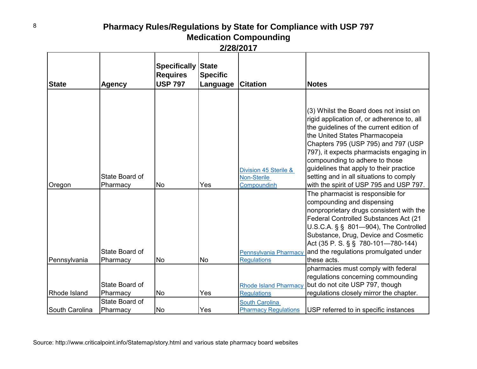| <b>State</b>   | <b>Agency</b>              | <b>Specifically</b><br><b>Requires</b><br><b>USP 797</b> | <b>State</b><br><b>Specific</b><br><b>Language Citation</b> |                                                      | <b>Notes</b>                                                                                                                                                                                                                                                                                                                                                                                                              |
|----------------|----------------------------|----------------------------------------------------------|-------------------------------------------------------------|------------------------------------------------------|---------------------------------------------------------------------------------------------------------------------------------------------------------------------------------------------------------------------------------------------------------------------------------------------------------------------------------------------------------------------------------------------------------------------------|
|                |                            |                                                          |                                                             |                                                      |                                                                                                                                                                                                                                                                                                                                                                                                                           |
| Oregon         | State Board of<br>Pharmacy | <b>No</b>                                                | Yes                                                         | Division 45 Sterile &<br>Non-Sterile<br>Compoundinh  | (3) Whilst the Board does not insist on<br>rigid application of, or adherence to, all<br>the guidelines of the current edition of<br>the United States Pharmacopeia<br>Chapters 795 (USP 795) and 797 (USP<br>797), it expects pharmacists engaging in<br>compounding to adhere to those<br>guidelines that apply to their practice<br>setting and in all situations to comply<br>with the spirit of USP 795 and USP 797. |
| Pennsylvania   | State Board of<br>Pharmacy | <b>No</b>                                                | lNo                                                         | <b>Pennsylvania Pharmacy</b><br><b>Regulations</b>   | The pharmacist is responsible for<br>compounding and dispensing<br>nonproprietary drugs consistent with the<br>Federal Controlled Substances Act (21<br>$U.S.C.A.$ § § 801-904), The Controlled<br>Substance, Drug, Device and Cosmetic<br>Act (35 P. S. § § 780-101—780-144)<br>and the regulations promulgated under<br>these acts.                                                                                     |
| Rhode Island   | State Board of<br>Pharmacy | <b>No</b>                                                | Yes                                                         | <b>Rhode Island Pharmacy</b><br><b>Regulations</b>   | pharmacies must comply with federal<br>regulations concerning commounding<br>but do not cite USP 797, though<br>regulations closely mirror the chapter.                                                                                                                                                                                                                                                                   |
| South Carolina | State Board of<br>Pharmacy | <b>No</b>                                                | Yes                                                         | <b>South Carolina</b><br><b>Pharmacy Regulations</b> | USP referred to in specific instances                                                                                                                                                                                                                                                                                                                                                                                     |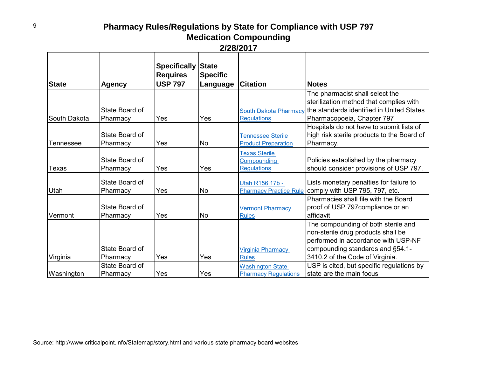| <b>State</b> | <b>Agency</b>              | <b>Specifically</b><br><b>Requires</b><br><b>USP 797</b> | <b>State</b><br><b>Specific</b><br>Language | <b>Citation</b>                                           | <b>Notes</b>                                                                                                                                                                            |
|--------------|----------------------------|----------------------------------------------------------|---------------------------------------------|-----------------------------------------------------------|-----------------------------------------------------------------------------------------------------------------------------------------------------------------------------------------|
| South Dakota | State Board of<br>Pharmacy | Yes                                                      | Yes                                         | South Dakota Pharmacy<br><b>Regulations</b>               | The pharmacist shall select the<br>sterilization method that complies with<br>the standards identified in United States<br>Pharmacopoeia, Chapter 797                                   |
| Tennessee    | State Board of<br>Pharmacy | Yes                                                      | <b>No</b>                                   | <b>Tennessee Sterile</b><br><b>Product Preparation</b>    | Hospitals do not have to submit lists of<br>high risk sterile products to the Board of<br>Pharmacy.                                                                                     |
| Texas        | State Board of<br>Pharmacy | Yes                                                      | Yes                                         | <b>Texas Sterile</b><br>Compounding<br><b>Regulations</b> | Policies established by the pharmacy<br>should consider provisions of USP 797.                                                                                                          |
| Utah         | State Board of<br>Pharmacy | Yes                                                      | <b>No</b>                                   | Utah R156.17b -                                           | Lists monetary penalties for failure to<br>Pharmacy Practice Rule comply with USP 795, 797, etc.                                                                                        |
| Vermont      | State Board of<br>Pharmacy | Yes                                                      | <b>No</b>                                   | <b>Vermont Pharmacy</b><br><b>Rules</b>                   | Pharmacies shall file with the Board<br>proof of USP 797 compliance or an<br>affidavit                                                                                                  |
| Virginia     | State Board of<br>Pharmacy | Yes                                                      | Yes                                         | <b>Virginia Pharmacy</b><br><b>Rules</b>                  | The compounding of both sterile and<br>non-sterile drug products shall be<br>performed in accordance with USP-NF<br>compounding standards and §54.1-<br>3410.2 of the Code of Virginia. |
| Washington   | State Board of<br>Pharmacy | Yes                                                      | Yes                                         | <b>Washington State</b><br><b>Pharmacy Regulations</b>    | USP is cited, but specific regulations by<br>state are the main focus                                                                                                                   |